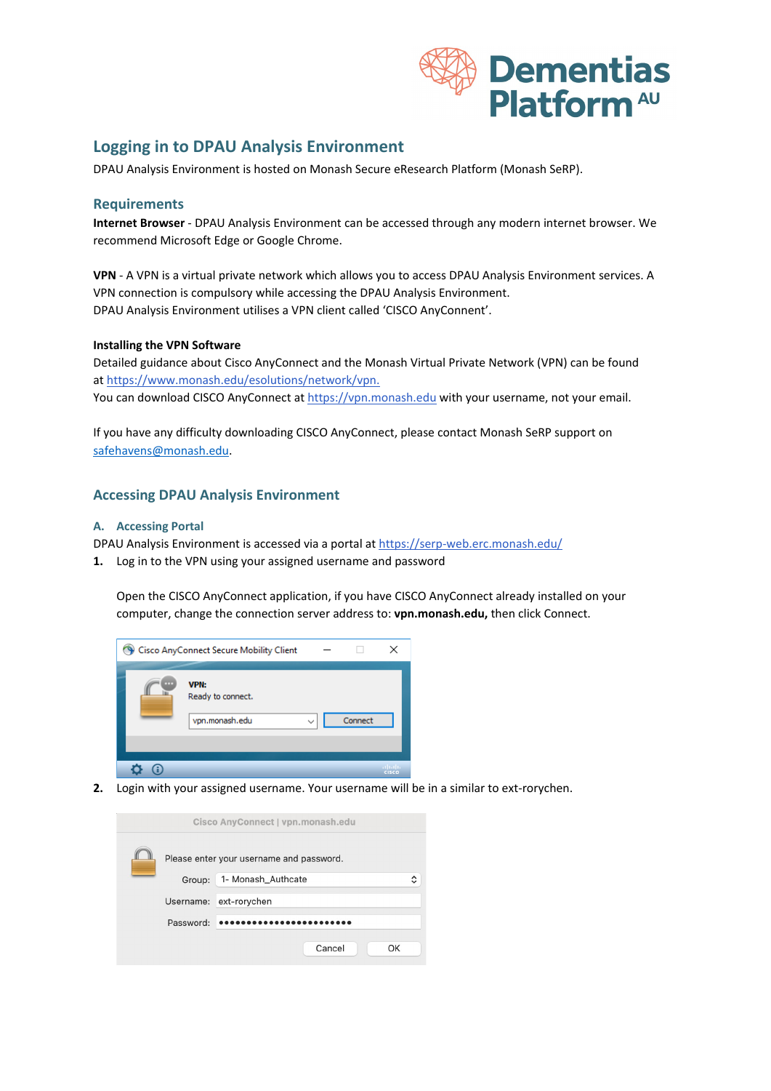

# **Logging in to DPAU Analysis Environment**

DPAU Analysis Environment is hosted on Monash Secure eResearch Platform (Monash SeRP).

### **Requirements**

**Internet Browser** - DPAU Analysis Environment can be accessed through any modern internet browser. We recommend Microsoft Edge or Google Chrome.

**VPN** - A VPN is a virtual private network which allows you to access DPAU Analysis Environment services. A VPN connection is compulsory while accessing the DPAU Analysis Environment. DPAU Analysis Environment utilises a VPN client called 'CISCO AnyConnent'.

#### **Installing the VPN Software**

Detailed guidance about Cisco AnyConnect and the Monash Virtual Private Network (VPN) can be found a[t https://www.monash.edu/esolutions/network/vpn.](https://www.monash.edu/esolutions/network/vpn) You can download CISCO AnyConnect at [https://vpn.monash.edu](https://vpn.monash.edu/) with your username, not your email.

If you have any difficulty downloading CISCO AnyConnect, please contact Monash SeRP support on [safehavens@monash.edu.](mailto:safehavens@monash.edu)

## **Accessing DPAU Analysis Environment**

#### **A. Accessing Portal**

DPAU Analysis Environment is accessed via a portal at <https://serp-web.erc.monash.edu/>

**1.** Log in to the VPN using your assigned username and password

Open the CISCO AnyConnect application, if you have CISCO AnyConnect already installed on your computer, change the connection server address to: **vpn.monash.edu,** then click Connect.



**2.** Login with your assigned username. Your username will be in a similar to ext-rorychen.

| Cisco AnyConnect   vpn.monash.edu |                                          |                         |  |  |  |
|-----------------------------------|------------------------------------------|-------------------------|--|--|--|
|                                   | Please enter your username and password. |                         |  |  |  |
|                                   | Group:                                   | 1- Monash_Authcate<br>^ |  |  |  |
|                                   | Username:                                | ext-rorychen            |  |  |  |
|                                   | Password:                                |                         |  |  |  |
|                                   |                                          | Cancel<br>OK            |  |  |  |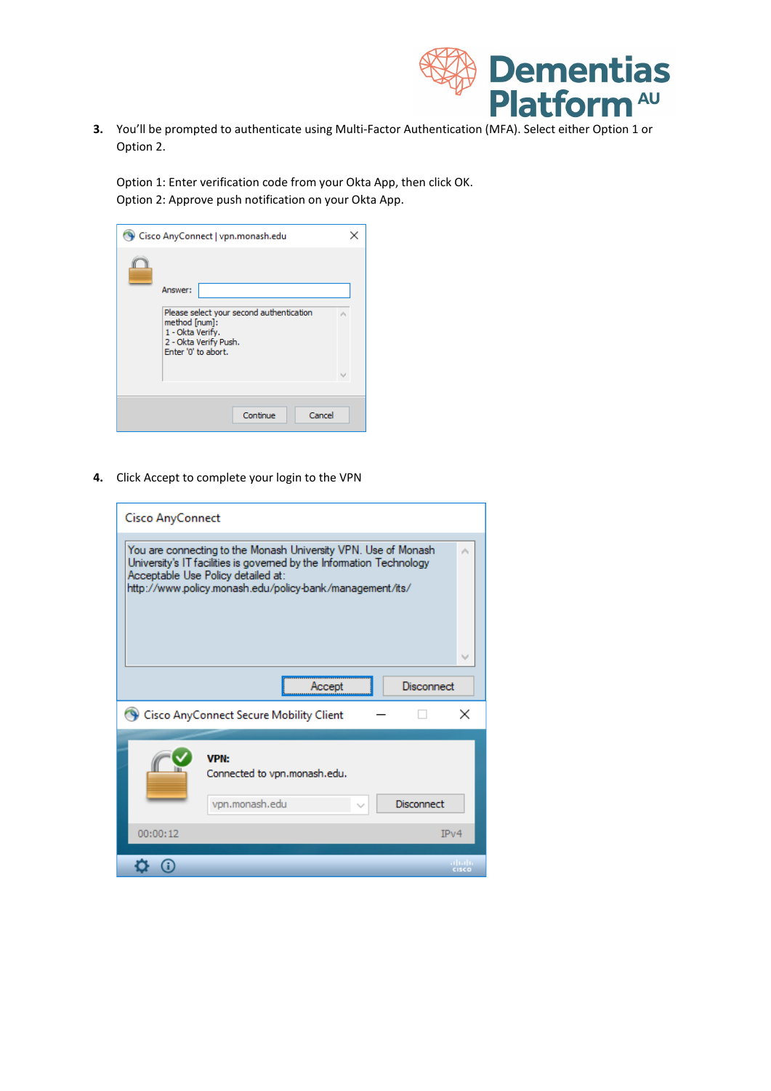

**3.** You'll be prompted to authenticate using Multi-Factor Authentication (MFA). Select either Option 1 or Option 2.

Option 1: Enter verification code from your Okta App, then click OK. Option 2: Approve push notification on your Okta App.

| Cisco AnyConnect   vpn.monash.edu                                                                                                        |        |
|------------------------------------------------------------------------------------------------------------------------------------------|--------|
| Answer:<br>Please select your second authentication<br>method [num]:<br>1 - Okta Verify.<br>2 - Okta Verify Push.<br>Enter '0' to abort. |        |
| Continue                                                                                                                                 | Cancel |

**4.** Click Accept to complete your login to the VPN

| <b>Cisco AnyConnect</b>                                                                                                                                                                                                                  |   |
|------------------------------------------------------------------------------------------------------------------------------------------------------------------------------------------------------------------------------------------|---|
| You are connecting to the Monash University VPN. Use of Monash<br>University's IT facilities is governed by the Information Technology<br>Acceptable Use Policy detailed at:<br>http://www.policy.monash.edu/policy-bank/management/its/ |   |
| Disconnect<br>Accept                                                                                                                                                                                                                     |   |
| Cisco AnyConnect Secure Mobility Client                                                                                                                                                                                                  | × |
| <b>VPN:</b><br>Connected to vpn.monash.edu.<br>vpn.monash.edu<br>Disconnect                                                                                                                                                              |   |
| 00:00:12<br>IPv4                                                                                                                                                                                                                         |   |
| <b>CISCO</b>                                                                                                                                                                                                                             |   |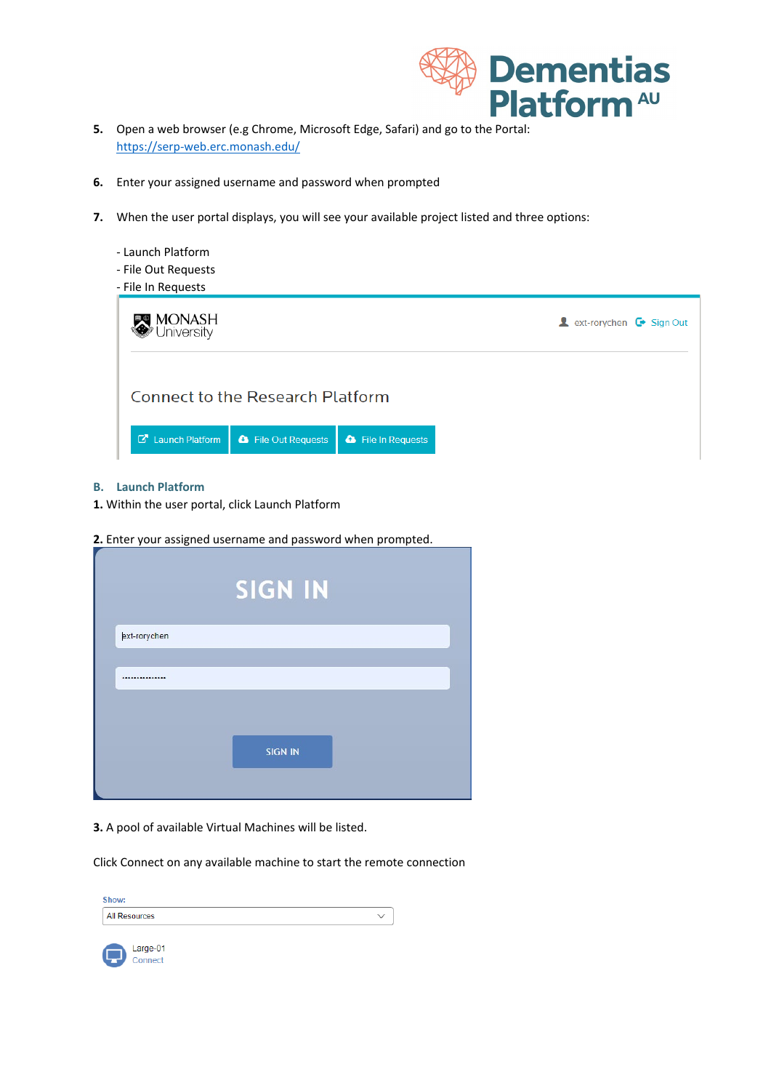

- **5.** Open a web browser (e.g Chrome, Microsoft Edge, Safari) and go to the Portal: <https://serp-web.erc.monash.edu/>
- **6.** Enter your assigned username and password when prompted
- **7.** When the user portal displays, you will see your available project listed and three options:

| - Launch Platform<br>- File Out Requests<br>- File In Requests                          |                                                                    |
|-----------------------------------------------------------------------------------------|--------------------------------------------------------------------|
| <b>  MONASH</b><br>® University                                                         | <b>A</b> ext-rorychen $\mathbf{\mathbf{\mathbf{\Theta}}}$ Sign Out |
| <b>Connect to the Research Platform</b>                                                 |                                                                    |
| <b>C</b> Launch Platform<br><b>&amp;</b> File Out Requests<br><b>a</b> File In Requests |                                                                    |

#### **B. Launch Platform**

- **1.** Within the user portal, click Launch Platform
- **2.** Enter your assigned username and password when prompted.

|              | <b>SIGN IN</b> |
|--------------|----------------|
| ext-rorychen |                |
|              |                |
|              |                |
|              | <b>SIGN IN</b> |
|              |                |

#### **3.** A pool of available Virtual Machines will be listed.

Click Connect on any available machine to start the remote connection

| Show:         |  |
|---------------|--|
| All Resources |  |
|               |  |